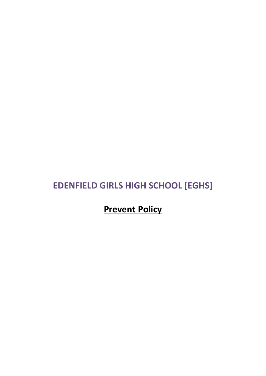# **EDENFIELD GIRLS HIGH SCHOOL [EGHS]**

**Prevent Policy**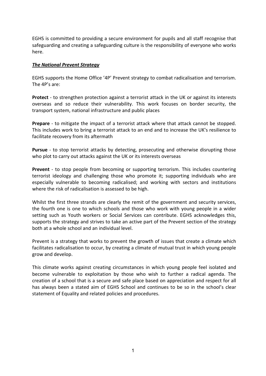EGHS is committed to providing a secure environment for pupils and all staff recognise that safeguarding and creating a safeguarding culture is the responsibility of everyone who works here.

#### *The National Prevent Strategy*

EGHS supports the Home Office '4P' Prevent strategy to combat radicalisation and terrorism. The 4P's are:

**Protect** - to strengthen protection against a terrorist attack in the UK or against its interests overseas and so reduce their vulnerability. This work focuses on border security, the transport system, national infrastructure and public places

**Prepare** - to mitigate the impact of a terrorist attack where that attack cannot be stopped. This includes work to bring a terrorist attack to an end and to increase the UK's resilience to facilitate recovery from its aftermath

**Pursue** - to stop terrorist attacks by detecting, prosecuting and otherwise disrupting those who plot to carry out attacks against the UK or its interests overseas

**Prevent** - to stop people from becoming or supporting terrorism. This includes countering terrorist ideology and challenging those who promote it; supporting individuals who are especially vulnerable to becoming radicalised; and working with sectors and institutions where the risk of radicalisation is assessed to be high.

Whilst the first three strands are clearly the remit of the government and security services, the fourth one is one to which schools and those who work with young people in a wider setting such as Youth workers or Social Services can contribute. EGHS acknowledges this, supports the strategy and strives to take an active part of the Prevent section of the strategy both at a whole school and an individual level.

Prevent is a strategy that works to prevent the growth of issues that create a climate which facilitates radicalisation to occur, by creating a climate of mutual trust in which young people grow and develop.

This climate works against creating circumstances in which young people feel isolated and become vulnerable to exploitation by those who wish to further a radical agenda. The creation of a school that is a secure and safe place based on appreciation and respect for all has always been a stated aim of EGHS School and continues to be so in the school's clear statement of Equality and related policies and procedures.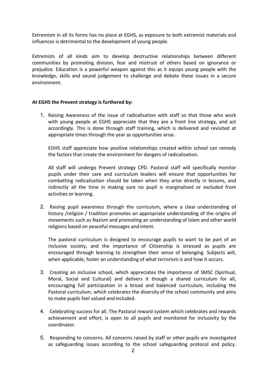Extremism in all its forms has no place at EGHS, as exposure to both extremist materials and influences is detrimental to the development of young people.

Extremists of all kinds aim to develop destructive relationships between different communities by promoting division, fear and mistrust of others based on ignorance or prejudice. Education is a powerful weapon against this as it equips young people with the knowledge, skills and sound judgement to challenge and debate these issues in a secure environment.

## **At EGHS the Prevent strategy is furthered by:**

1. Raising Awareness of the issue of radicalisation with staff so that those who work with young people at EGHS appreciate that they are a front line strategy, and act accordingly. This is done through staff training, which is delivered and revisited at appropriate times through the year as opportunities arise.

EGHS staff appreciate how positive relationships created within school can remedy the factors that create the environment for dangers of radicalisation.

All staff will undergo Prevent strategy CPD. Pastoral staff will specifically monitor pupils under their care and curriculum leaders will ensure that opportunities for combatting radicalisation should be taken when they arise directly in lessons, and indirectly all the time in making sure no pupil is marginalised or excluded from activities or learning.

2. Raising pupil awareness through the curriculum, where a clear understanding of history /religion / tradition promotes an appropriate understanding of the origins of movements such as Nazism and promoting an understanding of Islam and other world religions based on peaceful messages and intent.

The pastoral curriculum is designed to encourage pupils to want to be part of an inclusive society, and the importance of Citizenship is stressed as pupils are encouraged through learning to strengthen their sense of belonging. Subjects will, when applicable, foster an understanding of what terrorism is and how it occurs.

- 3. Creating an inclusive school, which appreciates the importance of SMSC (Spiritual, Moral, Social and Cultural) and delivers it though a shared curriculum for all, encouraging full participation in a broad and balanced curriculum, including the Pastoral curriculum, which celebrates the diversity of the school community and aims to make pupils feel valued and included.
- 4. Celebrating success for all. The Pastoral reward system which celebrates and rewards achievement and effort, is open to all pupils and monitored for inclusivity by the coordinator.
- 5. Responding to concerns. All concerns raised by staff or other pupils are investigated as safeguarding issues according to the school safeguarding protocol and policy.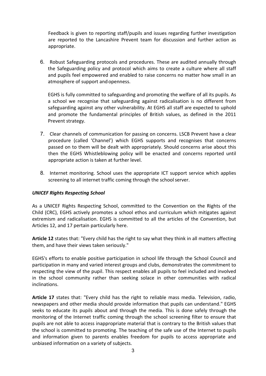Feedback is given to reporting staff/pupils and issues regarding further investigation are reported to the Lancashire Prevent team for discussion and further action as appropriate.

6. Robust Safeguarding protocols and procedures. These are audited annually through the Safeguarding policy and protocol which aims to create a culture where all staff and pupils feel empowered and enabled to raise concerns no matter how small in an atmosphere of support and openness.

EGHS is fully committed to safeguarding and promoting the welfare of all its pupils. As a school we recognise that safeguarding against radicalisation is no different from safeguarding against any other vulnerability. At EGHS all staff are expected to uphold and promote the fundamental principles of British values, as defined in the 2011 Prevent strategy.

- 7. Clear channels of communication for passing on concerns. LSCB Prevent have a clear procedure (called 'Channel') which EGHS supports and recognises that concerns passed on to them will be dealt with appropriately. Should concerns arise about this then the EGHS Whistleblowing policy will be enacted and concerns reported until appropriate action is taken at further level.
- 8. Internet monitoring. School uses the appropriate ICT support service which applies screening to all internet traffic coming through the school server.

# *UNICEF Rights Respecting School*

As a UNICEF Rights Respecting School, committed to the Convention on the Rights of the Child (CRC), EGHS actively promotes a school ethos and curriculum which mitigates against extremism and radicalisation. EGHS is committed to all the articles of the Convention, but Articles 12, and 17 pertain particularly here.

**Article 12** states that: "Every child has the right to say what they think in all matters affecting them, and have their views taken seriously."

EGHS's efforts to enable positive participation in school life through the School Council and participation in many and varied interest groups and clubs, demonstrates the commitment to respecting the view of the pupil. This respect enables all pupils to feel included and involved in the school community rather than seeking solace in other communities with radical inclinations.

**Article 17** states that: "Every child has the right to reliable mass media. Television, radio, newspapers and other media should provide information that pupils can understand." EGHS seeks to educate its pupils about and through the media. This is done safely through the monitoring of the Internet traffic coming through the school screening filter to ensure that pupils are not able to access inappropriate material that is contrary to the British values that the school is committed to promoting. The teaching of the safe use of the Internet to pupils and information given to parents enables freedom for pupils to access appropriate and unbiased information on a variety of subjects.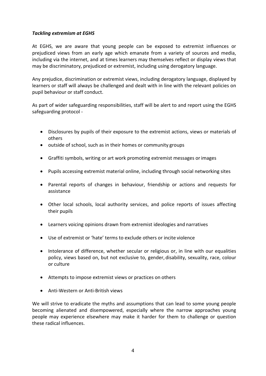# *Tackling extremism at EGHS*

At EGHS, we are aware that young people can be exposed to extremist influences or prejudiced views from an early age which emanate from a variety of sources and media, including via the internet, and at times learners may themselves reflect or display views that may be discriminatory, prejudiced or extremist, including using derogatory language.

Any prejudice, discrimination or extremist views, including derogatory language, displayed by learners or staff will always be challenged and dealt with in line with the relevant policies on pupil behaviour or staff conduct.

As part of wider safeguarding responsibilities, staff will be alert to and report using the EGHS safeguarding protocol -

- Disclosures by pupils of their exposure to the extremist actions, views or materials of others
- outside of school, such as in their homes or community groups
- Graffiti symbols, writing or art work promoting extremist messages orimages
- Pupils accessing extremist material online, including through social networking sites
- Parental reports of changes in behaviour, friendship or actions and requests for assistance
- Other local schools, local authority services, and police reports of issues affecting their pupils
- Learners voicing opinions drawn from extremist ideologies and narratives
- Use of extremist or 'hate' terms to exclude others or incite violence
- Intolerance of difference, whether secular or religious or, in line with our equalities policy, views based on, but not exclusive to, gender, disability, sexuality, race, colour or culture
- Attempts to impose extremist views or practices on others
- Anti-Western or Anti-British views

We will strive to eradicate the myths and assumptions that can lead to some young people becoming alienated and disempowered, especially where the narrow approaches young people may experience elsewhere may make it harder for them to challenge or question these radical influences.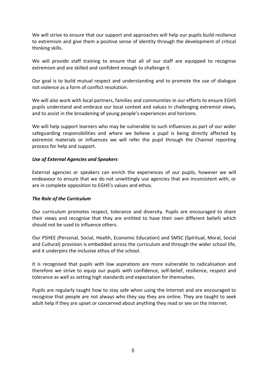We will strive to ensure that our support and approaches will help our pupils build resilience to extremism and give them a positive sense of identity through the development of critical thinking skills.

We will provide staff training to ensure that all of our staff are equipped to recognise extremism and are skilled and confident enough to challenge it.

Our goal is to build mutual respect and understanding and to promote the use of dialogue not violence as a form of conflict resolution.

We will also work with local partners, families and communities in our efforts to ensure EGHS pupils understand and embrace our local context and values in challenging extremist views, and to assist in the broadening of young people's experiences and horizons.

We will help support learners who may be vulnerable to such influences as part of our wider safeguarding responsibilities and where we believe a pupil is being directly affected by extremist materials or influences we will refer the pupil through the Channel reporting process for help and support.

## *Use of External Agencies and Speakers*

External agencies or speakers can enrich the experiences of our pupils, however we will endeavour to ensure that we do not unwittingly use agencies that are inconsistent with, or are in complete opposition to EGHS's values and ethos.

#### *The Role of the Curriculum*

Our curriculum promotes respect, tolerance and diversity. Pupils are encouraged to share their views and recognise that they are entitled to have their own different beliefs which should not be used to influence others.

Our PSHEE (Personal, Social, Health, Economic Education) and SMSC (Spiritual, Moral, Social and Cultural) provision is embedded across the curriculum and through the wider school life, and it underpins the inclusive ethos of the school.

It is recognised that pupils with low aspirations are more vulnerable to radicalisation and therefore we strive to equip our pupils with confidence, self-belief, resilience, respect and tolerance as well as setting high standards and expectation for themselves.

Pupils are regularly taught how to stay safe when using the Internet and are encouraged to recognise that people are not always who they say they are online. They are taught to seek adult help if they are upset or concerned about anything they read or see on the Internet.